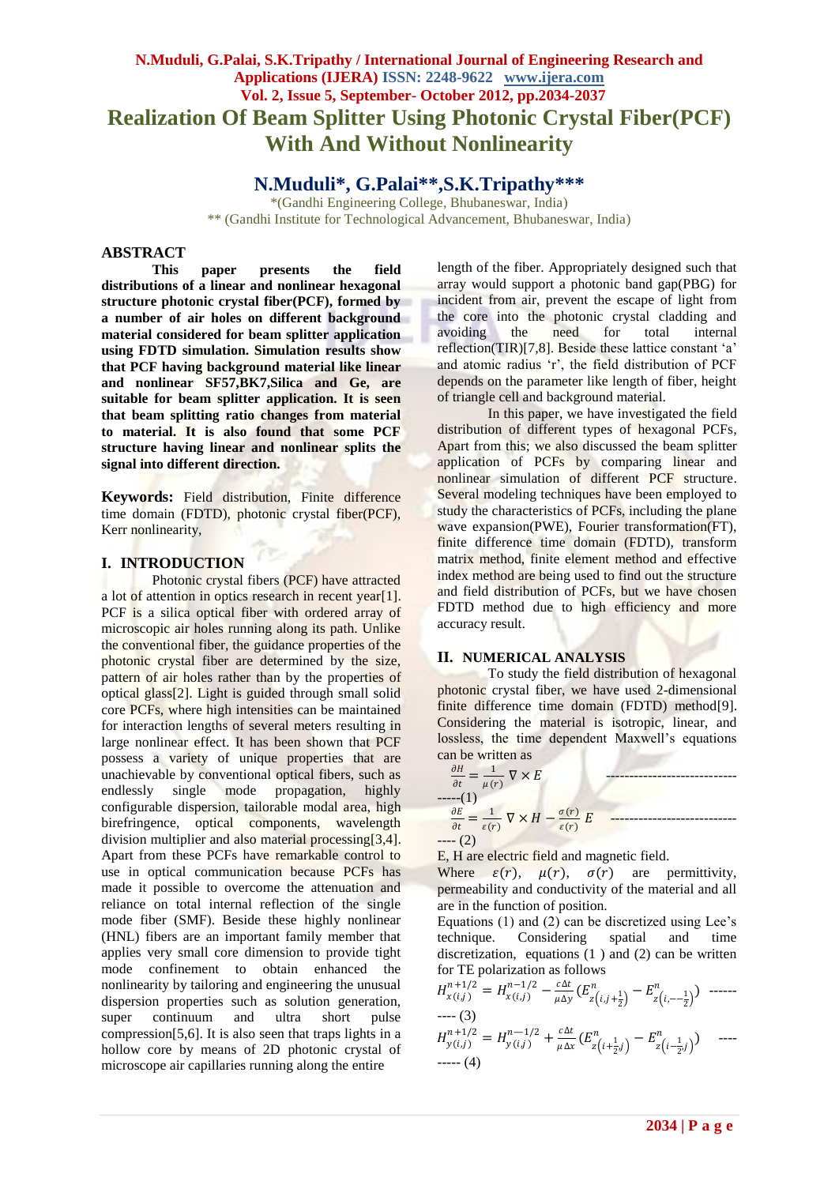# **N.Muduli, G.Palai, S.K.Tripathy / International Journal of Engineering Research and Applications (IJERA) ISSN: 2248-9622 www.ijera.com Vol. 2, Issue 5, September- October 2012, pp.2034-2037 Realization Of Beam Splitter Using Photonic Crystal Fiber(PCF) With And Without Nonlinearity**

## **N.Muduli\*, G.Palai\*\*,S.K.Tripathy\*\*\***

\*(Gandhi Engineering College, Bhubaneswar, India) \*\* (Gandhi Institute for Technological Advancement, Bhubaneswar, India)

#### **ABSTRACT**

**This paper presents the field distributions of a linear and nonlinear hexagonal structure photonic crystal fiber(PCF), formed by a number of air holes on different background material considered for beam splitter application using FDTD simulation. Simulation results show that PCF having background material like linear and nonlinear SF57,BK7,Silica and Ge, are suitable for beam splitter application. It is seen that beam splitting ratio changes from material to material. It is also found that some PCF structure having linear and nonlinear splits the signal into different direction.**

**Keywords:** Field distribution, Finite difference time domain (FDTD), photonic crystal fiber(PCF), Kerr nonlinearity,

### **I. INTRODUCTION**

Photonic crystal fibers (PCF) have attracted a lot of attention in optics research in recent year[1]. PCF is a silica optical fiber with ordered array of microscopic air holes running along its path. Unlike the conventional fiber, the guidance properties of the photonic crystal fiber are determined by the size, pattern of air holes rather than by the properties of optical glass[2]. Light is guided through small solid core PCFs, where high intensities can be maintained for interaction lengths of several meters resulting in large nonlinear effect. It has been shown that PCF possess a variety of unique properties that are unachievable by conventional optical fibers, such as endlessly single mode propagation, highly configurable dispersion, tailorable modal area, high birefringence, optical components, wavelength division multiplier and also material processing[3,4]. Apart from these PCFs have remarkable control to use in optical communication because PCFs has made it possible to overcome the attenuation and reliance on total internal reflection of the single mode fiber (SMF). Beside these highly nonlinear (HNL) fibers are an important family member that applies very small core dimension to provide tight mode confinement to obtain enhanced the nonlinearity by tailoring and engineering the unusual dispersion properties such as solution generation, super continuum and ultra short pulse compression[5,6]. It is also seen that traps lights in a hollow core by means of 2D photonic crystal of microscope air capillaries running along the entire

length of the fiber. Appropriately designed such that array would support a photonic band gap(PBG) for incident from air, prevent the escape of light from the core into the photonic crystal cladding and avoiding the need for total internal reflection(TIR)[7,8]. Beside these lattice constant 'a' and atomic radius 'r', the field distribution of PCF depends on the parameter like length of fiber, height of triangle cell and background material.

In this paper, we have investigated the field distribution of different types of hexagonal PCFs, Apart from this; we also discussed the beam splitter application of PCFs by comparing linear and nonlinear simulation of different PCF structure. Several modeling techniques have been employed to study the characteristics of PCFs, including the plane wave expansion(PWE), Fourier transformation(FT), finite difference time domain (FDTD), transform matrix method, finite element method and effective index method are being used to find out the structure and field distribution of PCFs, but we have chosen FDTD method due to high efficiency and more accuracy result.

#### **II. NUMERICAL ANALYSIS**

To study the field distribution of hexagonal photonic crystal fiber, we have used 2-dimensional finite difference time domain (FDTD) method[9]. Considering the material is isotropic, linear, and lossless, the time dependent Maxwell's equations can be written as

$$
\frac{\partial H}{\partial t} = \frac{1}{\mu(r)} \nabla \times E
$$
\n
$$
\begin{array}{c}\n\text{---(1)} \\
\frac{\partial E}{\partial t} = \frac{1}{\varepsilon(r)} \nabla \times H - \frac{\sigma(r)}{\varepsilon(r)} E\n\end{array}
$$
\n
$$
\begin{array}{c}\n\text{---(2)}\n\end{array}
$$

E, H are electric field and magnetic field.

Where  $\varepsilon(r)$ ,  $\mu(r)$ ,  $\sigma(r)$  are permittivity, permeability and conductivity of the material and all are in the function of position.

Equations (1) and (2) can be discretized using Lee's technique. Considering spatial and time discretization, equations  $(1)$  and  $(2)$  can be written for TE polarization as follows

(, ) +1/2 <sup>=</sup> (, ) −1/2 − ∆ ∆ ( , + 1 2 − ,−− 1 2 ) ------ ---- (3) —1/2 + ∆ 

$$
H_{y(i,j)}^{n+1/2} = H_{y(i,j)}^{n-1/2} + \frac{c\Delta t}{\mu \Delta x} \left( E_{z\left(i+\frac{1}{2},j\right)}^n - E_{z\left(i-\frac{1}{2},j\right)}^n \right) \quad \text{---}
$$
  
---(4)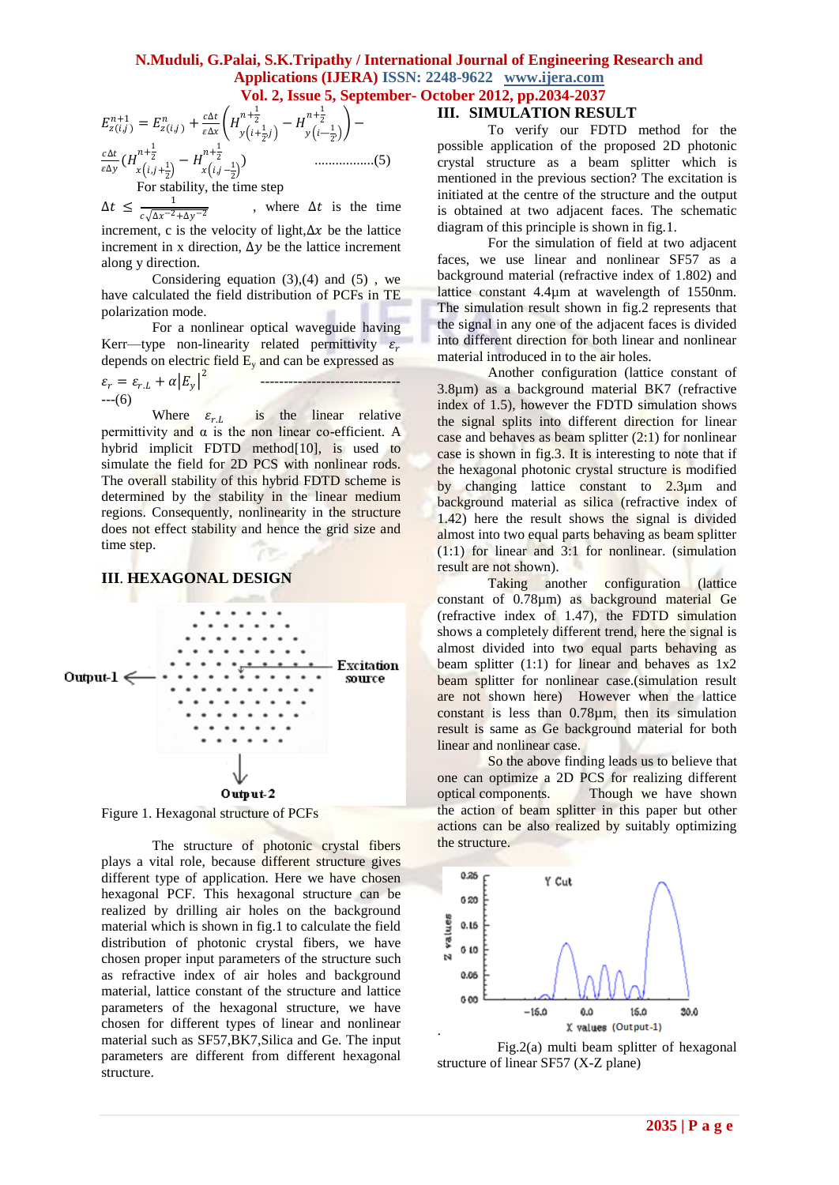#### **N.Muduli, G.Palai, S.K.Tripathy / International Journal of Engineering Research and Applications (IJERA) ISSN: 2248-9622 www.ijera.com Vol. 2, Issue 5, September- October 2012, pp.2034-2037**

(, ) +1 = (, ) + ∆ ∆ + 1 2 , + 1 <sup>2</sup> − — 1 2 , + 1 <sup>2</sup> − ∆ ∆ ( ,+ 1 2 + 1 <sup>2</sup> − , − 1 2 + 1 2 ) .................(5)

For stability, the time step

 $\Delta t \leq \frac{1}{\sqrt{1-2}}$  $c\sqrt{\Delta x^{-2}+\Delta y^{-2}}$ , where  $\Delta t$  is the time increment, c is the velocity of light, $\Delta x$  be the lattice increment in x direction,  $\Delta y$  be the lattice increment along y direction.

Considering equation  $(3),(4)$  and  $(5)$ , we have calculated the field distribution of PCFs in TE polarization mode.

For a nonlinear optical waveguide having Kerr—type non-linearity related permittivity  $\varepsilon_r$ depends on electric field  $E_v$  and can be expressed as

$$
\varepsilon_r = \varepsilon_{r,L} + \alpha |E_y|^2 \qquad \qquad \qquad \qquad
$$

Where  $\varepsilon_{r,L}$  is the linear relative permittivity and  $\alpha$  is the non linear co-efficient. A hybrid implicit FDTD method<sup>[10]</sup>, is used to simulate the field for 2D PCS with nonlinear rods. The overall stability of this hybrid FDTD scheme is determined by the stability in the linear medium regions. Consequently, nonlinearity in the structure does not effect stability and hence the grid size and time step.

#### **III**. **HEXAGONAL DESIGN**



Figure 1. Hexagonal structure of PCFs

The structure of photonic crystal fibers plays a vital role, because different structure gives different type of application. Here we have chosen hexagonal PCF. This hexagonal structure can be realized by drilling air holes on the background material which is shown in fig.1 to calculate the field distribution of photonic crystal fibers, we have chosen proper input parameters of the structure such as refractive index of air holes and background material, lattice constant of the structure and lattice parameters of the hexagonal structure, we have chosen for different types of linear and nonlinear material such as SF57,BK7,Silica and Ge. The input parameters are different from different hexagonal structure.

#### **III. SIMULATION RESULT**

To verify our FDTD method for the possible application of the proposed 2D photonic crystal structure as a beam splitter which is mentioned in the previous section? The excitation is initiated at the centre of the structure and the output is obtained at two adjacent faces. The schematic diagram of this principle is shown in fig.1.

For the simulation of field at two adjacent faces, we use linear and nonlinear SF57 as a background material (refractive index of 1.802) and lattice constant 4.4µm at wavelength of 1550nm. The simulation result shown in fig.2 represents that the signal in any one of the adjacent faces is divided into different direction for both linear and nonlinear material introduced in to the air holes.

Another configuration (lattice constant of 3.8µm) as a background material BK7 (refractive index of 1.5), however the FDTD simulation shows the signal splits into different direction for linear case and behaves as beam splitter  $(2:1)$  for nonlinear case is shown in fig.3. It is interesting to note that if the hexagonal photonic crystal structure is modified by changing lattice constant to 2.3µm and background material as silica (refractive index of 1.42) here the result shows the signal is divided almost into two equal parts behaving as beam splitter (1:1) for linear and 3:1 for nonlinear. (simulation result are not shown).

Taking another configuration (lattice constant of 0.78µm) as background material Ge (refractive index of 1.47), the FDTD simulation shows a completely different trend, here the signal is almost divided into two equal parts behaving as beam splitter (1:1) for linear and behaves as 1x2 beam splitter for nonlinear case.(simulation result are not shown here) However when the lattice constant is less than 0.78µm, then its simulation result is same as Ge background material for both linear and nonlinear case.

So the above finding leads us to believe that one can optimize a 2D PCS for realizing different optical components. Though we have shown the action of beam splitter in this paper but other actions can be also realized by suitably optimizing the structure.



 Fig.2(a) multi beam splitter of hexagonal structure of linear SF57 (X-Z plane)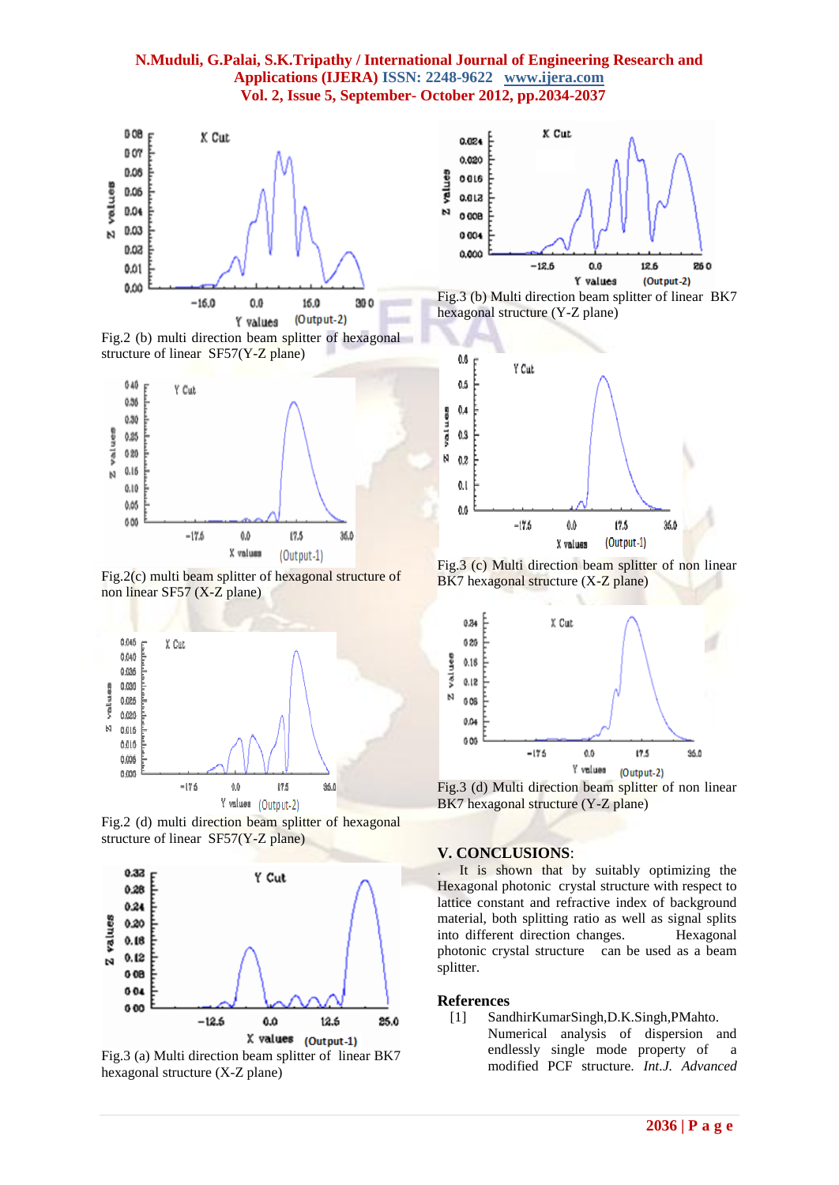#### **N.Muduli, G.Palai, S.K.Tripathy / International Journal of Engineering Research and Applications (IJERA) ISSN: 2248-9622 www.ijera.com Vol. 2, Issue 5, September- October 2012, pp.2034-2037**



Fig.2 (b) multi direction beam splitter of hexagonal structure of linear SF57(Y-Z plane)



Fig.2(c) multi beam splitter of hexagonal structure of non linear SF57 (X-Z plane)



Fig.2 (d) multi direction beam splitter of hexagonal structure of linear SF57(Y-Z plane)



Fig.3 (a) Multi direction beam splitter of linear BK7 hexagonal structure (X-Z plane)



Fig.3 (b) Multi direction beam splitter of linear BK7 hexagonal structure (Y-Z plane)



Fig.3 (c) Multi direction beam splitter of non linear BK7 hexagonal structure (X-Z plane)



Fig.3 (d) Multi direction beam splitter of non linear BK7 hexagonal structure (Y-Z plane)

#### **V. CONCLUSIONS**:

It is shown that by suitably optimizing the Hexagonal photonic crystal structure with respect to lattice constant and refractive index of background material, both splitting ratio as well as signal splits into different direction changes. Hexagonal photonic crystal structure can be used as a beam splitter.

#### **References**

[1] SandhirKumarSingh,D.K.Singh,PMahto. Numerical analysis of dispersion and endlessly single mode property of a modified PCF structure. *Int.J. Advanced*